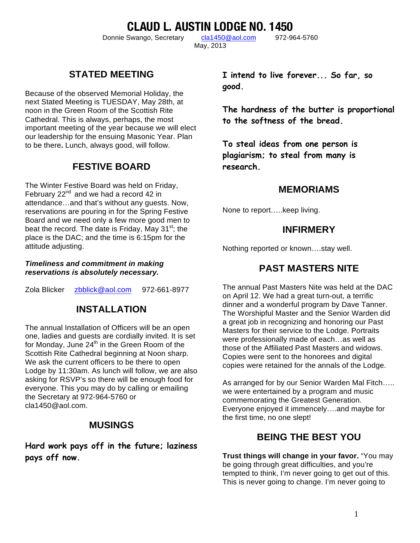**CLAUD L. AUSTIN LODGE NO. 1450**

Donnie Swango, Secretary cla1450@aol.com 972-964-5760

May, 2013

**STATED MEETING**

Because of the observed Memorial Holiday, the next Stated Meeting is TUESDAY, May 28th, at noon in the Green Room of the Scottish Rite Cathedral. This is always, perhaps, the most important meeting of the year because we will elect our leadership for the ensuing Masonic Year. Plan to be there**.** Lunch, always good, will follow.

# **FESTIVE BOARD**

The Winter Festive Board was held on Friday, February  $22^{nd}$  and we had a record 42 in attendance…and that's without any guests. Now, reservations are pouring in for the Spring Festive Board and we need only a few more good men to beat the record. The date is Friday, May 31 $^{\rm st}$ ; the place is the DAC; and the time is 6:15pm for the attitude adjusting.

#### *Timeliness and commitment in making reservations is absolutely necessary.*

Zola Blicker zbblick@aol.com 972-661-8977

### **INSTALLATION**

The annual Installation of Officers will be an open one, ladies and guests are cordially invited. It is set for Monday, June  $24<sup>th</sup>$  in the Green Room of the Scottish Rite Cathedral beginning at Noon sharp. We ask the current officers to be there to open Lodge by 11:30am. As lunch will follow, we are also asking for RSVP's so there will be enough food for everyone. This you may do by calling or emailing the Secretary at 972-964-5760 or cla1450@aol.com.

#### **MUSINGS**

**Hard work pays off in the future; laziness pays off now.**

**I intend to live forever... So far, so good.**

**The hardness of the butter is proportional to the softness of the bread.**

**To steal ideas from one person is plagiarism; to steal from many is research.**

#### **MEMORIAMS**

None to report…..keep living.

#### **INFIRMERY**

Nothing reported or known….stay well.

### **PAST MASTERS NITE**

The annual Past Masters Nite was held at the DAC on April 12. We had a great turn-out, a terrific dinner and a wonderful program by Dave Tanner. The Worshipful Master and the Senior Warden did a great job in recognizing and honoring our Past Masters for their service to the Lodge. Portraits were professionally made of each…as well as those of the Affiliated Past Masters and widows. Copies were sent to the honorees and digital copies were retained for the annals of the Lodge.

As arranged for by our Senior Warden Mal Fitch….. we were entertained by a program and music commemorating the Greatest Generation. Everyone enjoyed it immencely….and maybe for the first time, no one slept!

### **BEING THE BEST YOU**

**Trust things will change in your favor.** "You may be going through great difficulties, and you're tempted to think, I'm never going to get out of this. This is never going to change. I'm never going to